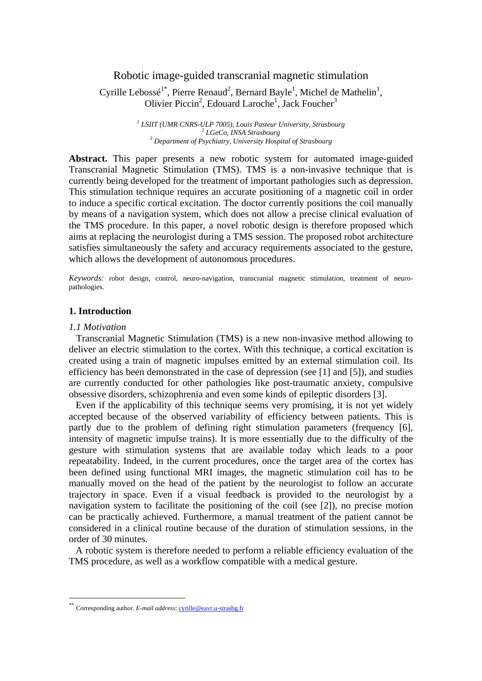# Robotic image-guided transcranial magnetic stimulation

Cyrille Lebossé<sup>1\*</sup>, Pierre Renaud<sup>2</sup>, Bernard Bayle<sup>1</sup>, Michel de Mathelin<sup>1</sup>, Olivier Piccin<sup>2</sup>, Edouard Laroche<sup>1</sup>, Jack Foucher<sup>3</sup>

> <sup>1</sup> LSIIT (UMR CNRS-ULP 7005), Louis Pasteur University, Strasbourg <sup>2</sup> LG<sub>CC</sub> INSA Strasbourg  *LGeCo, INSA Strasbourg 3 Department of Psychiatry, University Hospital of Strasbourg*

**Abstract.** This paper presents a new robotic system for automated image-guided Transcranial Magnetic Stimulation (TMS). TMS is a non-invasive technique that is currently being developed for the treatment of important pathologies such as depression. This stimulation technique requires an accurate positioning of a magnetic coil in order to induce a specific cortical excitation. The doctor currently positions the coil manually by means of a navigation system, which does not allow a precise clinical evaluation of the TMS procedure. In this paper, a novel robotic design is therefore proposed which aims at replacing the neurologist during a TMS session. The proposed robot architecture satisfies simultaneously the safety and accuracy requirements associated to the gesture, which allows the development of autonomous procedures.

*Keywords:* robot design, control, neuro-navigation, transcranial magnetic stimulation, treatment of neuropathologies.

## **1. Introduction**

#### *1.1 Motivation*

<u>.</u>

Transcranial Magnetic Stimulation (TMS) is a new non-invasive method allowing to deliver an electric stimulation to the cortex. With this technique, a cortical excitation is created using a train of magnetic impulses emitted by an external stimulation coil. Its efficiency has been demonstrated in the case of depression (see [1] and [5]), and studies are currently conducted for other pathologies like post-traumatic anxiety, compulsive obsessive disorders, schizophrenia and even some kinds of epileptic disorders [3].

Even if the applicability of this technique seems very promising, it is not yet widely accepted because of the observed variability of efficiency between patients. This is partly due to the problem of defining right stimulation parameters (frequency [6], intensity of magnetic impulse trains). It is more essentially due to the difficulty of the gesture with stimulation systems that are available today which leads to a poor repeatability. Indeed, in the current procedures, once the target area of the cortex has been defined using functional MRI images, the magnetic stimulation coil has to be manually moved on the head of the patient by the neurologist to follow an accurate trajectory in space. Even if a visual feedback is provided to the neurologist by a navigation system to facilitate the positioning of the coil (see [2]), no precise motion can be practically achieved. Furthermore, a manual treatment of the patient cannot be considered in a clinical routine because of the duration of stimulation sessions, in the order of 30 minutes.

A robotic system is therefore needed to perform a reliable efficiency evaluation of the TMS procedure, as well as a workflow compatible with a medical gesture.

<sup>\*\*</sup> Corresponding author. *E-mail address*: cyrille@eavr.u-strasbg.fr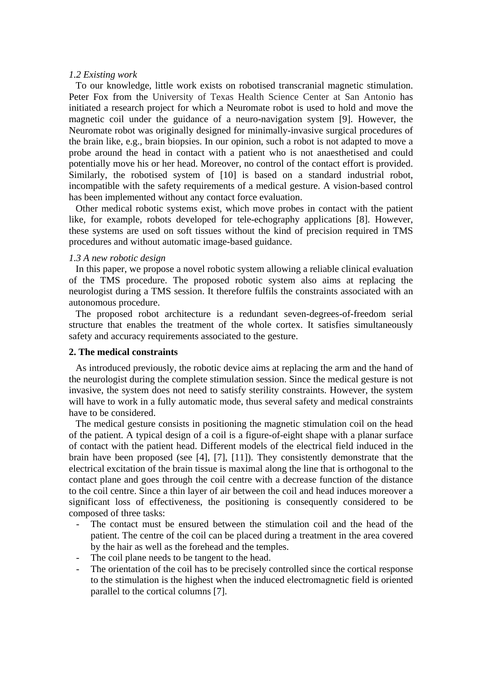### *1.2 Existing work*

To our knowledge, little work exists on robotised transcranial magnetic stimulation. Peter Fox from the University of Texas Health Science Center at San Antonio has initiated a research project for which a Neuromate robot is used to hold and move the magnetic coil under the guidance of a neuro-navigation system [9]. However, the Neuromate robot was originally designed for minimally-invasive surgical procedures of the brain like, e.g., brain biopsies. In our opinion, such a robot is not adapted to move a probe around the head in contact with a patient who is not anaesthetised and could potentially move his or her head. Moreover, no control of the contact effort is provided. Similarly, the robotised system of [10] is based on a standard industrial robot, incompatible with the safety requirements of a medical gesture. A vision-based control has been implemented without any contact force evaluation.

Other medical robotic systems exist, which move probes in contact with the patient like, for example, robots developed for tele-echography applications [8]. However, these systems are used on soft tissues without the kind of precision required in TMS procedures and without automatic image-based guidance.

### *1.3 A new robotic design*

In this paper, we propose a novel robotic system allowing a reliable clinical evaluation of the TMS procedure. The proposed robotic system also aims at replacing the neurologist during a TMS session. It therefore fulfils the constraints associated with an autonomous procedure.

The proposed robot architecture is a redundant seven-degrees-of-freedom serial structure that enables the treatment of the whole cortex. It satisfies simultaneously safety and accuracy requirements associated to the gesture.

## **2. The medical constraints**

As introduced previously, the robotic device aims at replacing the arm and the hand of the neurologist during the complete stimulation session. Since the medical gesture is not invasive, the system does not need to satisfy sterility constraints. However, the system will have to work in a fully automatic mode, thus several safety and medical constraints have to be considered.

The medical gesture consists in positioning the magnetic stimulation coil on the head of the patient. A typical design of a coil is a figure-of-eight shape with a planar surface of contact with the patient head. Different models of the electrical field induced in the brain have been proposed (see [4], [7], [11]). They consistently demonstrate that the electrical excitation of the brain tissue is maximal along the line that is orthogonal to the contact plane and goes through the coil centre with a decrease function of the distance to the coil centre. Since a thin layer of air between the coil and head induces moreover a significant loss of effectiveness, the positioning is consequently considered to be composed of three tasks:

- The contact must be ensured between the stimulation coil and the head of the patient. The centre of the coil can be placed during a treatment in the area covered by the hair as well as the forehead and the temples.
- The coil plane needs to be tangent to the head.
- The orientation of the coil has to be precisely controlled since the cortical response to the stimulation is the highest when the induced electromagnetic field is oriented parallel to the cortical columns [7].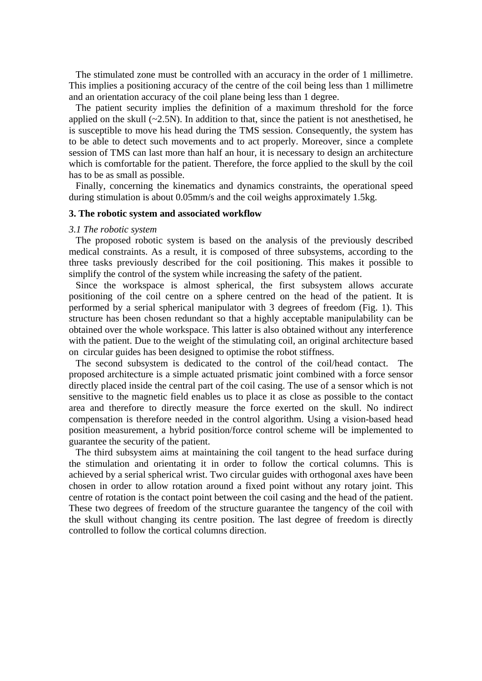The stimulated zone must be controlled with an accuracy in the order of 1 millimetre. This implies a positioning accuracy of the centre of the coil being less than 1 millimetre and an orientation accuracy of the coil plane being less than 1 degree.

The patient security implies the definition of a maximum threshold for the force applied on the skull  $(-2.5N)$ . In addition to that, since the patient is not anesthetised, he is susceptible to move his head during the TMS session. Consequently, the system has to be able to detect such movements and to act properly. Moreover, since a complete session of TMS can last more than half an hour, it is necessary to design an architecture which is comfortable for the patient. Therefore, the force applied to the skull by the coil has to be as small as possible.

Finally, concerning the kinematics and dynamics constraints, the operational speed during stimulation is about 0.05mm/s and the coil weighs approximately 1.5kg.

### **3. The robotic system and associated workflow**

#### *3.1 The robotic system*

The proposed robotic system is based on the analysis of the previously described medical constraints. As a result, it is composed of three subsystems, according to the three tasks previously described for the coil positioning. This makes it possible to simplify the control of the system while increasing the safety of the patient.

 Since the workspace is almost spherical, the first subsystem allows accurate positioning of the coil centre on a sphere centred on the head of the patient. It is performed by a serial spherical manipulator with 3 degrees of freedom (Fig. 1). This structure has been chosen redundant so that a highly acceptable manipulability can be obtained over the whole workspace. This latter is also obtained without any interference with the patient. Due to the weight of the stimulating coil, an original architecture based on circular guides has been designed to optimise the robot stiffness.

The second subsystem is dedicated to the control of the coil/head contact. The proposed architecture is a simple actuated prismatic joint combined with a force sensor directly placed inside the central part of the coil casing. The use of a sensor which is not sensitive to the magnetic field enables us to place it as close as possible to the contact area and therefore to directly measure the force exerted on the skull. No indirect compensation is therefore needed in the control algorithm. Using a vision-based head position measurement, a hybrid position/force control scheme will be implemented to guarantee the security of the patient.

The third subsystem aims at maintaining the coil tangent to the head surface during the stimulation and orientating it in order to follow the cortical columns. This is achieved by a serial spherical wrist. Two circular guides with orthogonal axes have been chosen in order to allow rotation around a fixed point without any rotary joint. This centre of rotation is the contact point between the coil casing and the head of the patient. These two degrees of freedom of the structure guarantee the tangency of the coil with the skull without changing its centre position. The last degree of freedom is directly controlled to follow the cortical columns direction.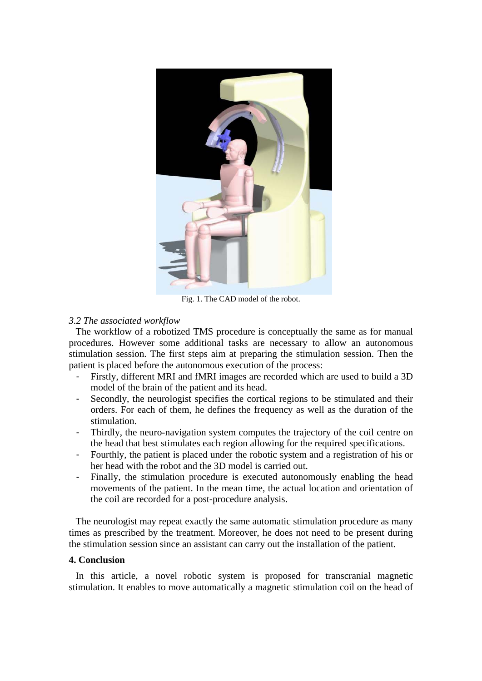

Fig. 1. The CAD model of the robot.

# *3.2 The associated workflow*

The workflow of a robotized TMS procedure is conceptually the same as for manual procedures. However some additional tasks are necessary to allow an autonomous stimulation session. The first steps aim at preparing the stimulation session. Then the patient is placed before the autonomous execution of the process:

- Firstly, different MRI and fMRI images are recorded which are used to build a 3D model of the brain of the patient and its head.
- Secondly, the neurologist specifies the cortical regions to be stimulated and their orders. For each of them, he defines the frequency as well as the duration of the stimulation.
- Thirdly, the neuro-navigation system computes the trajectory of the coil centre on the head that best stimulates each region allowing for the required specifications.
- Fourthly, the patient is placed under the robotic system and a registration of his or her head with the robot and the 3D model is carried out.
- Finally, the stimulation procedure is executed autonomously enabling the head movements of the patient. In the mean time, the actual location and orientation of the coil are recorded for a post-procedure analysis.

 The neurologist may repeat exactly the same automatic stimulation procedure as many times as prescribed by the treatment. Moreover, he does not need to be present during the stimulation session since an assistant can carry out the installation of the patient.

# **4. Conclusion**

In this article, a novel robotic system is proposed for transcranial magnetic stimulation. It enables to move automatically a magnetic stimulation coil on the head of